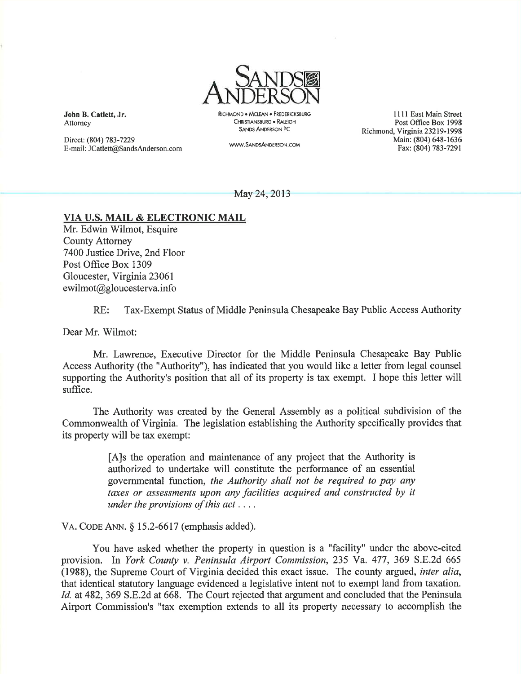

John B. Catlett, Jr. Attomey

Direct: (804) 783-7229 E-mail: JCatlett@SandsAnderson.com RICHMOND. MCIFAN. FREDERICKSBURG CHRISTIANSBURG . RALEIGH SANDS ANDERSoN PC

www.SAND5ANDERSoN.coM

1111 East Main Street Post Office Box 1998 Richmond, Virginia 23219-1998 Main: (804) 648-1636 Fax: (804) 783-7291

May 24, 2013

## VIA U.S. MAIL & ELECTRONIC MAIL

Mr. Edwin Wilmot, Esquire County Attomey 7400 Justice Drive, 2nd Floor Post Office Box 1309 Gloucester, Virginia 23061 ewilmot@gloucesterva.info

RE: Tax-Exempt Status of Middle Peninsula Chesapeake Bay Public Access Authority

Dear Mr. Wilmot:

Mr. Lawrence, Executive Director for the Middle Peninsula Chesapeake Bay Public Access Authority (the "Authority"), has indicated that you would like a letter from legal counsel supporting the Authority's position that all of its property is tax exempt. I hope this letter will suffice.

The Authority was created by the General Assembly as a political subdivision of the Commonwealth of Virginia. The legislation establishing the Authority specifically provides that its property will be tax exempt:

> [A]s the operation and maintenance of any project that the Authority is authorized to undertake will constitute the performance of an essential govemmental function, the Authority shall not be required to pay any taxes or assessments upon any facilities acquired and constructed by it under the provisions of this  $act \ldots$ .

VA. CODE ANN.  $\S$  15.2-6617 (emphasis added).

You have asked whether the property in question is a "facility" under the above-cited provision. In York County v. Peninsula Airport Commission,235 Ya. 477,369 S.E.2d <sup>665</sup> (1988), the Supreme Court of Virginia decided this exact issue. The county argued, inter alia, that identical statutory language evidenced a legislative intent not to exempt land from taxation. Id. at 482, 369 S.E.2d at 668. The Court rejected that argument and concluded that the Peninsula Airport Commission's "tax exemption extends to all its property necessary to accomplish the